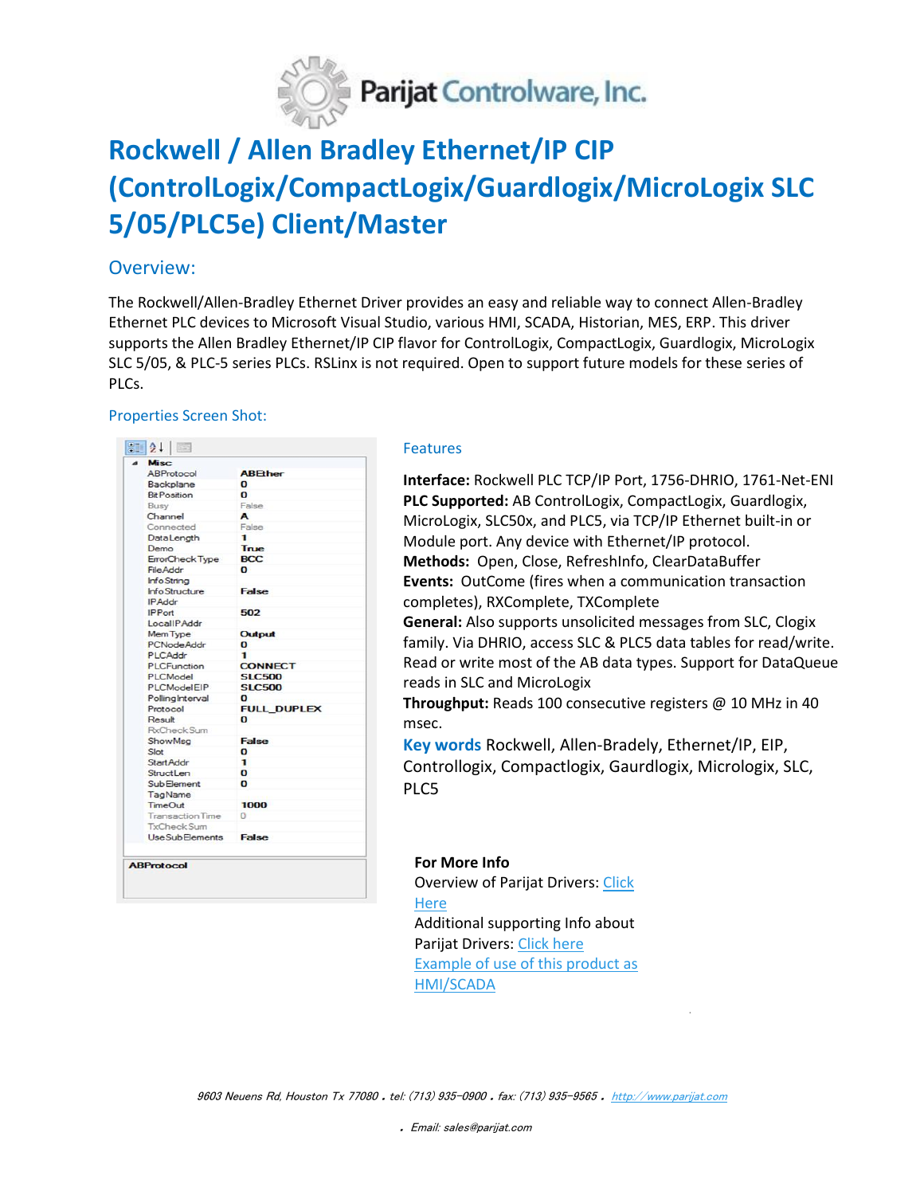

# **Rockwell / Allen Bradley Ethernet/IP CIP (ControlLogix/CompactLogix/Guardlogix/MicroLogix SLC 5/05/PLC5e) Client/Master**

## Overview:

The Rockwell/Allen-Bradley Ethernet Driver provides an easy and reliable way to connect Allen-Bradley Ethernet PLC devices to Microsoft Visual Studio, various HMI, SCADA, Historian, MES, ERP. This driver supports the Allen Bradley Ethernet/IP CIP flavor for ControlLogix, CompactLogix, Guardlogix, MicroLogix SLC 5/05, & PLC-5 series PLCs. RSLinx is not required. Open to support future models for these series of PLCs.

### Properties Screen Shot:

| <b>Misc</b>             |                    |
|-------------------------|--------------------|
| ABProtocol              | <b>ABEther</b>     |
| Backplane               | o                  |
| <b>Bit Position</b>     | n                  |
| <b>Busy</b>             | False              |
| Channel                 | A                  |
| Connected               | False              |
| DataLength              | 1                  |
| Demo                    | True               |
| ErrorCheck Type         | <b>BCC</b>         |
| <b>File Addr</b>        | n                  |
| <b>Info String</b>      |                    |
| Info Structure          | <b>False</b>       |
| <b>IPAddr</b>           |                    |
| <b>IPPort</b>           | 502                |
| LocalIPAddr             |                    |
| MemType                 | Output             |
| <b>PCNodeAddr</b>       | $\bf{o}$           |
| PLCAddr                 | 1                  |
| <b>PLCFunction</b>      | <b>CONNECT</b>     |
| PLCModel                | <b>SLC500</b>      |
| PLCModelEIP             | <b>SLC500</b>      |
| PollingInterval         | o                  |
| Protocol                | <b>FULL DUPLEX</b> |
| Result                  | $\Omega$           |
| RxCheckSum              |                    |
| <b>ShowMsg</b>          | False              |
| Slot                    | O                  |
| <b>StartAddr</b>        | 1                  |
| <b>StructLen</b>        | o                  |
| <b>SubElement</b>       | $\Omega$           |
| TagName                 |                    |
| <b>TimeOut</b>          | 1000               |
| <b>Transaction Time</b> | $\Omega$           |
| TxCheckSum              |                    |
| <b>UseSubElements</b>   | False              |
|                         |                    |
| <b>ABProtocol</b>       |                    |

#### Features

**Interface:** Rockwell PLC TCP/IP Port, 1756-DHRIO, 1761-Net-ENI **PLC Supported:** AB ControlLogix, CompactLogix, Guardlogix, MicroLogix, SLC50x, and PLC5, via TCP/IP Ethernet built-in or Module port. Any device with Ethernet/IP protocol. **Methods:** Open, Close, RefreshInfo, ClearDataBuffer **Events:** OutCome (fires when a communication transaction completes), RXComplete, TXComplete **General:** Also supports unsolicited messages from SLC, Clogix family. Via DHRIO, access SLC & PLC5 data tables for read/write. Read or write most of the AB data types. Support for DataQueue reads in SLC and MicroLogix

**Throughput:** Reads 100 consecutive registers @ 10 MHz in 40 msec.

**Key words** Rockwell, Allen-Bradely, Ethernet/IP, EIP, Controllogix, Compactlogix, Gaurdlogix, Micrologix, SLC, PLC5

.

### **For More Info**

Overview of Parijat Drivers[: Click](http://www.controlsystemtools.com/overview-of-dotnet-activex-drivers.aspx)  **[Here](http://www.controlsystemtools.com/overview-of-dotnet-activex-drivers.aspx)** Additional supporting Info about Parijat Drivers: [Click here](http://controlsystemtools.com/Upload/Resource/635429008180653804.doc) Example of use of this product as HMI/SCADA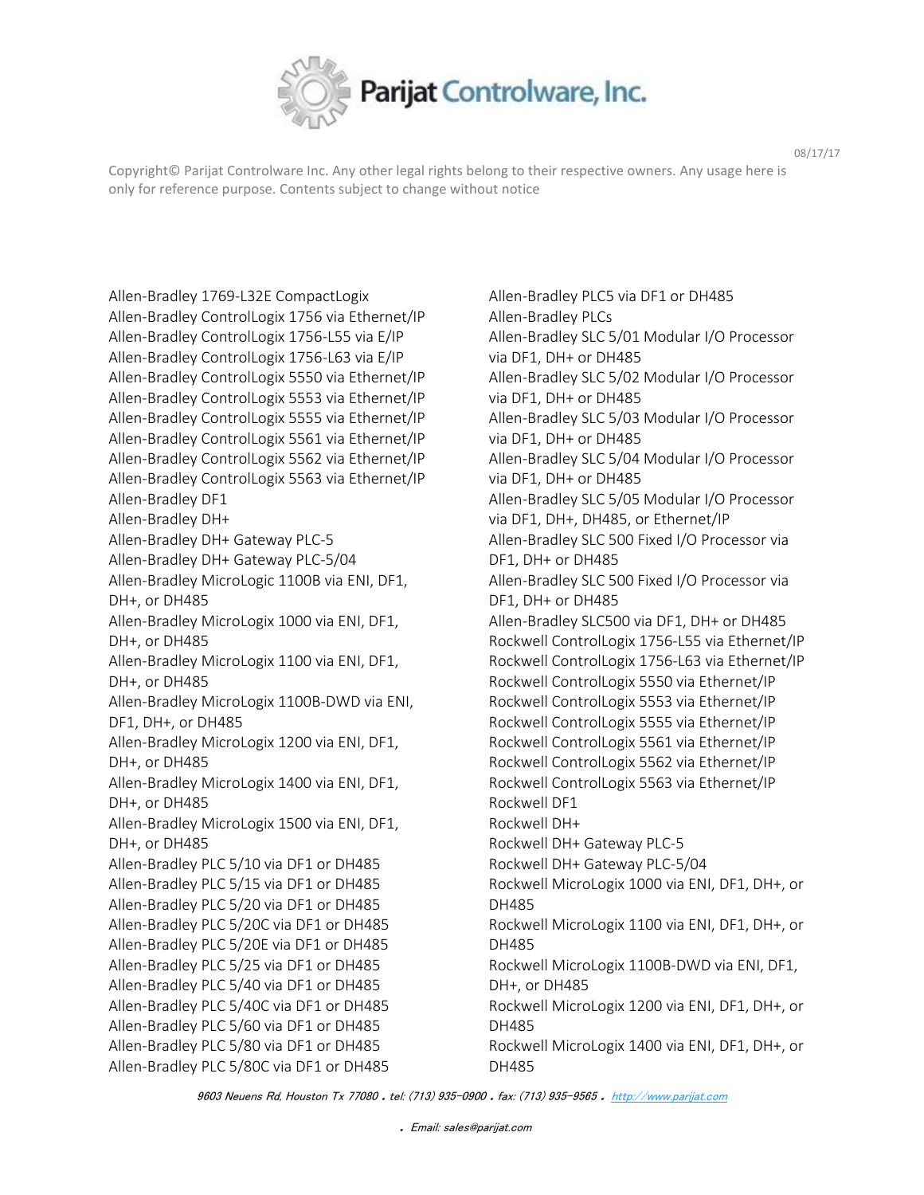

Copyright© Parijat Controlware Inc. Any other legal rights belong to their respective owners. Any usage here is only for reference purpose. Contents subject to change without notice

Allen-Bradley 1769-L32E CompactLogix Allen-Bradley ControlLogix 1756 via Ethernet/IP Allen-Bradley ControlLogix 1756-L55 via E/IP Allen-Bradley ControlLogix 1756-L63 via E/IP Allen-Bradley ControlLogix 5550 via Ethernet/IP Allen-Bradley ControlLogix 5553 via Ethernet/IP Allen-Bradley ControlLogix 5555 via Ethernet/IP Allen-Bradley ControlLogix 5561 via Ethernet/IP Allen-Bradley ControlLogix 5562 via Ethernet/IP Allen-Bradley ControlLogix 5563 via Ethernet/IP Allen-Bradley DF1 Allen-Bradley DH+ Allen-Bradley DH+ Gateway PLC-5 Allen-Bradley DH+ Gateway PLC-5/04 Allen-Bradley MicroLogic 1100B via ENI, DF1, DH+, or DH485 Allen-Bradley MicroLogix 1000 via ENI, DF1, DH+, or DH485 Allen-Bradley MicroLogix 1100 via ENI, DF1, DH+, or DH485 Allen-Bradley MicroLogix 1100B-DWD via ENI, DF1, DH+, or DH485 Allen-Bradley MicroLogix 1200 via ENI, DF1, DH+, or DH485 Allen-Bradley MicroLogix 1400 via ENI, DF1, DH+, or DH485 Allen-Bradley MicroLogix 1500 via ENI, DF1, DH+, or DH485 Allen-Bradley PLC 5/10 via DF1 or DH485 Allen-Bradley PLC 5/15 via DF1 or DH485 Allen-Bradley PLC 5/20 via DF1 or DH485 Allen-Bradley PLC 5/20C via DF1 or DH485 Allen-Bradley PLC 5/20E via DF1 or DH485 Allen-Bradley PLC 5/25 via DF1 or DH485 Allen-Bradley PLC 5/40 via DF1 or DH485 Allen-Bradley PLC 5/40C via DF1 or DH485 Allen-Bradley PLC 5/60 via DF1 or DH485 Allen-Bradley PLC 5/80 via DF1 or DH485 Allen-Bradley PLC 5/80C via DF1 or DH485

Allen-Bradley PLC5 via DF1 or DH485 Allen-Bradley PLCs Allen-Bradley SLC 5/01 Modular I/O Processor via DF1, DH+ or DH485 Allen-Bradley SLC 5/02 Modular I/O Processor via DF1, DH+ or DH485 Allen-Bradley SLC 5/03 Modular I/O Processor via DF1, DH+ or DH485 Allen-Bradley SLC 5/04 Modular I/O Processor via DF1, DH+ or DH485 Allen-Bradley SLC 5/05 Modular I/O Processor via DF1, DH+, DH485, or Ethernet/IP Allen-Bradley SLC 500 Fixed I/O Processor via DF1, DH+ or DH485 Allen-Bradley SLC 500 Fixed I/O Processor via DF1, DH+ or DH485 Allen-Bradley SLC500 via DF1, DH+ or DH485 Rockwell ControlLogix 1756-L55 via Ethernet/IP Rockwell ControlLogix 1756-L63 via Ethernet/IP Rockwell ControlLogix 5550 via Ethernet/IP Rockwell ControlLogix 5553 via Ethernet/IP Rockwell ControlLogix 5555 via Ethernet/IP Rockwell ControlLogix 5561 via Ethernet/IP Rockwell ControlLogix 5562 via Ethernet/IP Rockwell ControlLogix 5563 via Ethernet/IP Rockwell DF1 Rockwell DH+ Rockwell DH+ Gateway PLC-5 Rockwell DH+ Gateway PLC-5/04 Rockwell MicroLogix 1000 via ENI, DF1, DH+, or DH485 Rockwell MicroLogix 1100 via ENI, DF1, DH+, or DH485 Rockwell MicroLogix 1100B-DWD via ENI, DF1, DH+, or DH485 Rockwell MicroLogix 1200 via ENI, DF1, DH+, or DH485 Rockwell MicroLogix 1400 via ENI, DF1, DH+, or DH485

9603 Neuens Rd, Houston Tx 77080 . tel: (713) 935-0900 . fax: (713) 935-9565 . [http://www.parijat.com](http://www.parijat.com/)